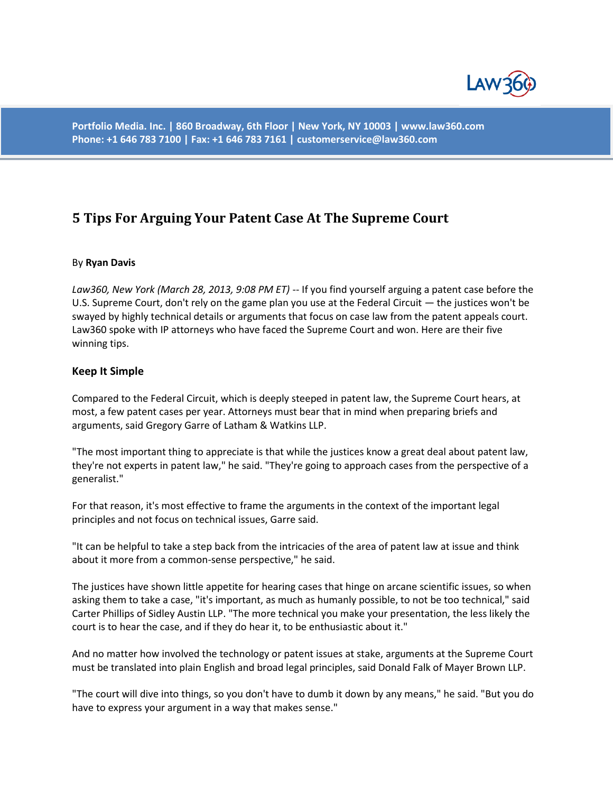

**Portfolio Media. Inc. | 860 Broadway, 6th Floor | New York, NY 10003 | www.law360.com Phone: +1 646 783 7100 | Fax: +1 646 783 7161 | customerservice@law360.com**

# **5 Tips For Arguing Your Patent Case At The Supreme Court**

#### By **Ryan Davis**

*Law360, New York (March 28, 2013, 9:08 PM ET)* -- If you find yourself arguing a patent case before the U.S. Supreme Court, don't rely on the game plan you use at the Federal Circuit — the justices won't be swayed by highly technical details or arguments that focus on case law from the patent appeals court. Law360 spoke with IP attorneys who have faced the Supreme Court and won. Here are their five winning tips.

#### **Keep It Simple**

Compared to the Federal Circuit, which is deeply steeped in patent law, the Supreme Court hears, at most, a few patent cases per year. Attorneys must bear that in mind when preparing briefs and arguments, said Gregory Garre of Latham & Watkins LLP.

"The most important thing to appreciate is that while the justices know a great deal about patent law, they're not experts in patent law," he said. "They're going to approach cases from the perspective of a generalist."

For that reason, it's most effective to frame the arguments in the context of the important legal principles and not focus on technical issues, Garre said.

"It can be helpful to take a step back from the intricacies of the area of patent law at issue and think about it more from a common-sense perspective," he said.

The justices have shown little appetite for hearing cases that hinge on arcane scientific issues, so when asking them to take a case, "it's important, as much as humanly possible, to not be too technical," said Carter Phillips of Sidley Austin LLP. "The more technical you make your presentation, the less likely the court is to hear the case, and if they do hear it, to be enthusiastic about it."

And no matter how involved the technology or patent issues at stake, arguments at the Supreme Court must be translated into plain English and broad legal principles, said Donald Falk of Mayer Brown LLP.

"The court will dive into things, so you don't have to dumb it down by any means," he said. "But you do have to express your argument in a way that makes sense."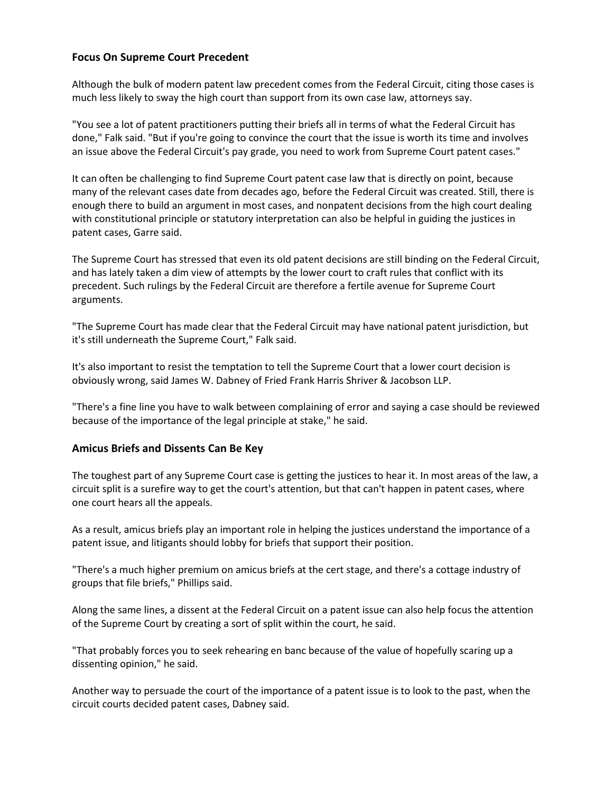## **Focus On Supreme Court Precedent**

Although the bulk of modern patent law precedent comes from the Federal Circuit, citing those cases is much less likely to sway the high court than support from its own case law, attorneys say.

"You see a lot of patent practitioners putting their briefs all in terms of what the Federal Circuit has done," Falk said. "But if you're going to convince the court that the issue is worth its time and involves an issue above the Federal Circuit's pay grade, you need to work from Supreme Court patent cases."

It can often be challenging to find Supreme Court patent case law that is directly on point, because many of the relevant cases date from decades ago, before the Federal Circuit was created. Still, there is enough there to build an argument in most cases, and nonpatent decisions from the high court dealing with constitutional principle or statutory interpretation can also be helpful in guiding the justices in patent cases, Garre said.

The Supreme Court has stressed that even its old patent decisions are still binding on the Federal Circuit, and has lately taken a dim view of attempts by the lower court to craft rules that conflict with its precedent. Such rulings by the Federal Circuit are therefore a fertile avenue for Supreme Court arguments.

"The Supreme Court has made clear that the Federal Circuit may have national patent jurisdiction, but it's still underneath the Supreme Court," Falk said.

It's also important to resist the temptation to tell the Supreme Court that a lower court decision is obviously wrong, said James W. Dabney of Fried Frank Harris Shriver & Jacobson LLP.

"There's a fine line you have to walk between complaining of error and saying a case should be reviewed because of the importance of the legal principle at stake," he said.

#### **Amicus Briefs and Dissents Can Be Key**

The toughest part of any Supreme Court case is getting the justices to hear it. In most areas of the law, a circuit split is a surefire way to get the court's attention, but that can't happen in patent cases, where one court hears all the appeals.

As a result, amicus briefs play an important role in helping the justices understand the importance of a patent issue, and litigants should lobby for briefs that support their position.

"There's a much higher premium on amicus briefs at the cert stage, and there's a cottage industry of groups that file briefs," Phillips said.

Along the same lines, a dissent at the Federal Circuit on a patent issue can also help focus the attention of the Supreme Court by creating a sort of split within the court, he said.

"That probably forces you to seek rehearing en banc because of the value of hopefully scaring up a dissenting opinion," he said.

Another way to persuade the court of the importance of a patent issue is to look to the past, when the circuit courts decided patent cases, Dabney said.